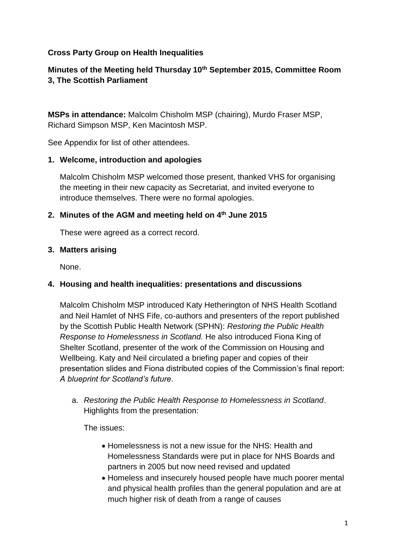### **Cross Party Group on Health Inequalities**

# **Minutes of the Meeting held Thursday 10th September 2015, Committee Room 3, The Scottish Parliament**

**MSPs in attendance:** Malcolm Chisholm MSP (chairing), Murdo Fraser MSP, Richard Simpson MSP, Ken Macintosh MSP.

See Appendix for list of other attendees.

#### **1. Welcome, introduction and apologies**

Malcolm Chisholm MSP welcomed those present, thanked VHS for organising the meeting in their new capacity as Secretariat, and invited everyone to introduce themselves. There were no formal apologies.

#### **2. Minutes of the AGM and meeting held on 4th June 2015**

These were agreed as a correct record.

#### **3. Matters arising**

None.

### **4. Housing and health inequalities: presentations and discussions**

Malcolm Chisholm MSP introduced Katy Hetherington of NHS Health Scotland and Neil Hamlet of NHS Fife, co-authors and presenters of the report published by the Scottish Public Health Network (SPHN): *Restoring the Public Health Response to Homelessness in Scotland.* He also introduced Fiona King of Shelter Scotland, presenter of the work of the Commission on Housing and Wellbeing. Katy and Neil circulated a briefing paper and copies of their presentation slides and Fiona distributed copies of the Commission's final report: *A blueprint for Scotland's future*.

a. *Restoring the Public Health Response to Homelessness in Scotland*. Highlights from the presentation:

The issues:

- Homelessness is not a new issue for the NHS: Health and Homelessness Standards were put in place for NHS Boards and partners in 2005 but now need revised and updated
- Homeless and insecurely housed people have much poorer mental and physical health profiles than the general population and are at much higher risk of death from a range of causes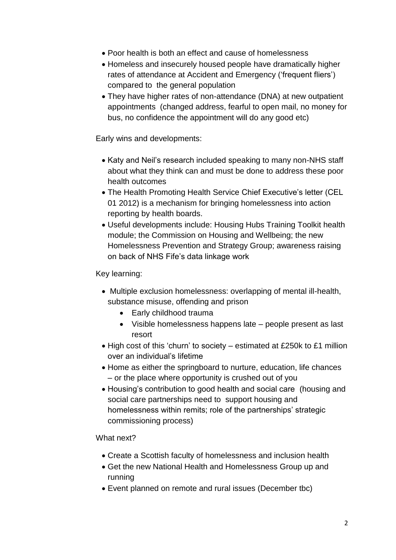- Poor health is both an effect and cause of homelessness
- Homeless and insecurely housed people have dramatically higher rates of attendance at Accident and Emergency ('frequent fliers') compared to the general population
- They have higher rates of non-attendance (DNA) at new outpatient appointments (changed address, fearful to open mail, no money for bus, no confidence the appointment will do any good etc)

Early wins and developments:

- Katy and Neil's research included speaking to many non-NHS staff about what they think can and must be done to address these poor health outcomes
- The Health Promoting Health Service Chief Executive's letter (CEL 01 2012) is a mechanism for bringing homelessness into action reporting by health boards.
- Useful developments include: Housing Hubs Training Toolkit health module; the Commission on Housing and Wellbeing; the new Homelessness Prevention and Strategy Group; awareness raising on back of NHS Fife's data linkage work

Key learning:

- Multiple exclusion homelessness: overlapping of mental ill-health, substance misuse, offending and prison
	- Early childhood trauma
	- Visible homelessness happens late people present as last resort
- High cost of this 'churn' to society estimated at £250k to £1 million over an individual's lifetime
- Home as either the springboard to nurture, education, life chances – or the place where opportunity is crushed out of you
- Housing's contribution to good health and social care (housing and social care partnerships need to support housing and homelessness within remits; role of the partnerships' strategic commissioning process)

What next?

- Create a Scottish faculty of homelessness and inclusion health
- Get the new National Health and Homelessness Group up and running
- Event planned on remote and rural issues (December tbc)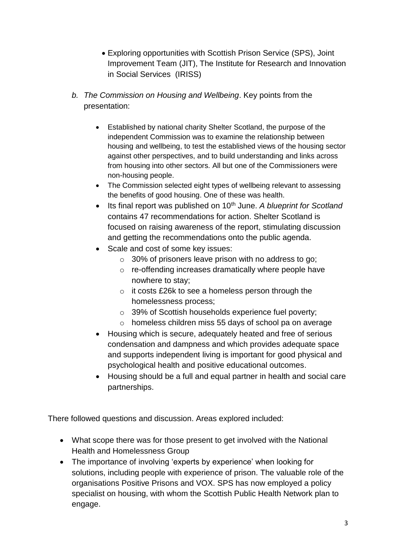- Exploring opportunities with Scottish Prison Service (SPS), Joint Improvement Team (JIT), The Institute for Research and Innovation in Social Services (IRISS)
- *b. The Commission on Housing and Wellbeing*. Key points from the presentation:
	- Established by national charity Shelter Scotland, the purpose of the independent Commission was to examine the relationship between housing and wellbeing, to test the established views of the housing sector against other perspectives, and to build understanding and links across from housing into other sectors. All but one of the Commissioners were non-housing people.
	- The Commission selected eight types of wellbeing relevant to assessing the benefits of good housing. One of these was health.
	- Its final report was published on 10<sup>th</sup> June. A blueprint for Scotland contains 47 recommendations for action. Shelter Scotland is focused on raising awareness of the report, stimulating discussion and getting the recommendations onto the public agenda.
	- Scale and cost of some key issues:
		- $\circ$  30% of prisoners leave prison with no address to go;
		- o re-offending increases dramatically where people have nowhere to stay;
		- o it costs £26k to see a homeless person through the homelessness process;
		- o 39% of Scottish households experience fuel poverty;
		- o homeless children miss 55 days of school pa on average
	- Housing which is secure, adequately heated and free of serious condensation and dampness and which provides adequate space and supports independent living is important for good physical and psychological health and positive educational outcomes.
	- Housing should be a full and equal partner in health and social care partnerships.

There followed questions and discussion. Areas explored included:

- What scope there was for those present to get involved with the National Health and Homelessness Group
- The importance of involving 'experts by experience' when looking for solutions, including people with experience of prison. The valuable role of the organisations Positive Prisons and VOX. SPS has now employed a policy specialist on housing, with whom the Scottish Public Health Network plan to engage.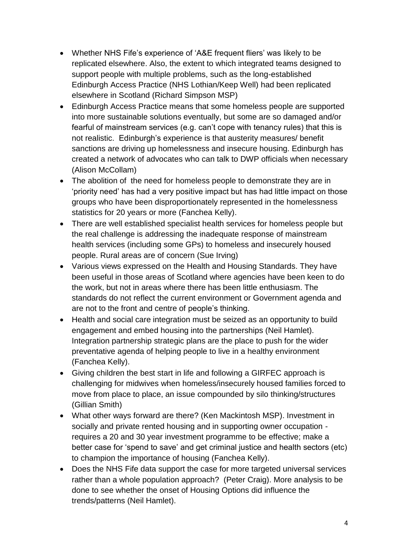- Whether NHS Fife's experience of 'A&E frequent fliers' was likely to be replicated elsewhere. Also, the extent to which integrated teams designed to support people with multiple problems, such as the long-established Edinburgh Access Practice (NHS Lothian/Keep Well) had been replicated elsewhere in Scotland (Richard Simpson MSP)
- Edinburgh Access Practice means that some homeless people are supported into more sustainable solutions eventually, but some are so damaged and/or fearful of mainstream services (e.g. can't cope with tenancy rules) that this is not realistic. Edinburgh's experience is that austerity measures/ benefit sanctions are driving up homelessness and insecure housing. Edinburgh has created a network of advocates who can talk to DWP officials when necessary (Alison McCollam)
- The abolition of the need for homeless people to demonstrate they are in 'priority need' has had a very positive impact but has had little impact on those groups who have been disproportionately represented in the homelessness statistics for 20 years or more (Fanchea Kelly).
- There are well established specialist health services for homeless people but the real challenge is addressing the inadequate response of mainstream health services (including some GPs) to homeless and insecurely housed people. Rural areas are of concern (Sue Irving)
- Various views expressed on the Health and Housing Standards. They have been useful in those areas of Scotland where agencies have been keen to do the work, but not in areas where there has been little enthusiasm. The standards do not reflect the current environment or Government agenda and are not to the front and centre of people's thinking.
- Health and social care integration must be seized as an opportunity to build engagement and embed housing into the partnerships (Neil Hamlet). Integration partnership strategic plans are the place to push for the wider preventative agenda of helping people to live in a healthy environment (Fanchea Kelly).
- Giving children the best start in life and following a GIRFEC approach is challenging for midwives when homeless/insecurely housed families forced to move from place to place, an issue compounded by silo thinking/structures (Gillian Smith)
- What other ways forward are there? (Ken Mackintosh MSP). Investment in socially and private rented housing and in supporting owner occupation requires a 20 and 30 year investment programme to be effective; make a better case for 'spend to save' and get criminal justice and health sectors (etc) to champion the importance of housing (Fanchea Kelly).
- Does the NHS Fife data support the case for more targeted universal services rather than a whole population approach? (Peter Craig). More analysis to be done to see whether the onset of Housing Options did influence the trends/patterns (Neil Hamlet).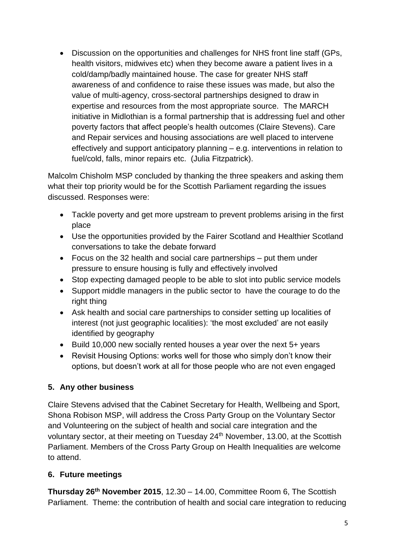Discussion on the opportunities and challenges for NHS front line staff (GPs, health visitors, midwives etc) when they become aware a patient lives in a cold/damp/badly maintained house. The case for greater NHS staff awareness of and confidence to raise these issues was made, but also the value of multi-agency, cross-sectoral partnerships designed to draw in expertise and resources from the most appropriate source. The MARCH initiative in Midlothian is a formal partnership that is addressing fuel and other poverty factors that affect people's health outcomes (Claire Stevens). Care and Repair services and housing associations are well placed to intervene effectively and support anticipatory planning – e.g. interventions in relation to fuel/cold, falls, minor repairs etc. (Julia Fitzpatrick).

Malcolm Chisholm MSP concluded by thanking the three speakers and asking them what their top priority would be for the Scottish Parliament regarding the issues discussed. Responses were:

- Tackle poverty and get more upstream to prevent problems arising in the first place
- Use the opportunities provided by the Fairer Scotland and Healthier Scotland conversations to take the debate forward
- Focus on the 32 health and social care partnerships put them under pressure to ensure housing is fully and effectively involved
- Stop expecting damaged people to be able to slot into public service models
- Support middle managers in the public sector to have the courage to do the right thing
- Ask health and social care partnerships to consider setting up localities of interest (not just geographic localities): 'the most excluded' are not easily identified by geography
- Build 10,000 new socially rented houses a year over the next 5+ years
- Revisit Housing Options: works well for those who simply don't know their options, but doesn't work at all for those people who are not even engaged

# **5. Any other business**

Claire Stevens advised that the Cabinet Secretary for Health, Wellbeing and Sport, Shona Robison MSP, will address the Cross Party Group on the Voluntary Sector and Volunteering on the subject of health and social care integration and the voluntary sector, at their meeting on Tuesday 24<sup>th</sup> November, 13.00, at the Scottish Parliament. Members of the Cross Party Group on Health Inequalities are welcome to attend.

# **6. Future meetings**

**Thursday 26th November 2015**, 12.30 – 14.00, Committee Room 6, The Scottish Parliament. Theme: the contribution of health and social care integration to reducing